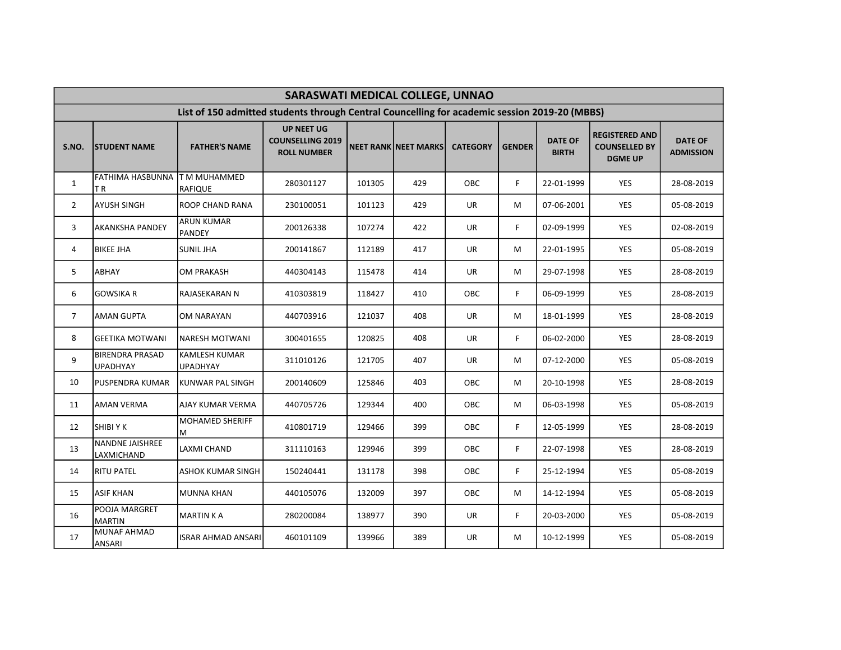|                | SARASWATI MEDICAL COLLEGE, UNNAO          |                                                                                               |                                                                    |        |                      |                 |               |                                |                                                                 |                                    |  |  |  |
|----------------|-------------------------------------------|-----------------------------------------------------------------------------------------------|--------------------------------------------------------------------|--------|----------------------|-----------------|---------------|--------------------------------|-----------------------------------------------------------------|------------------------------------|--|--|--|
|                |                                           | List of 150 admitted students through Central Councelling for academic session 2019-20 (MBBS) |                                                                    |        |                      |                 |               |                                |                                                                 |                                    |  |  |  |
| S.NO.          | <b>ISTUDENT NAME</b>                      | <b>FATHER'S NAME</b>                                                                          | <b>UP NEET UG</b><br><b>COUNSELLING 2019</b><br><b>ROLL NUMBER</b> |        | NEET RANK NEET MARKS | <b>CATEGORY</b> | <b>GENDER</b> | <b>DATE OF</b><br><b>BIRTH</b> | <b>REGISTERED AND</b><br><b>COUNSELLED BY</b><br><b>DGME UP</b> | <b>DATE OF</b><br><b>ADMISSION</b> |  |  |  |
| $\mathbf{1}$   | FATHIMA HASBUNNA T M MUHAMMED<br>ΤR       | RAFIQUE                                                                                       | 280301127                                                          | 101305 | 429                  | OBC             | F.            | 22-01-1999                     | <b>YES</b>                                                      | 28-08-2019                         |  |  |  |
| $\overline{2}$ | <b>AYUSH SINGH</b>                        | ROOP CHAND RANA                                                                               | 230100051                                                          | 101123 | 429                  | <b>UR</b>       | м             | 07-06-2001                     | YES                                                             | 05-08-2019                         |  |  |  |
| 3              | AKANKSHA PANDEY                           | <b>ARUN KUMAR</b><br>PANDEY                                                                   | 200126338                                                          | 107274 | 422                  | <b>UR</b>       | F.            | 02-09-1999                     | YES                                                             | 02-08-2019                         |  |  |  |
| 4              | <b>BIKEE JHA</b>                          | <b>SUNIL JHA</b>                                                                              | 200141867                                                          | 112189 | 417                  | <b>UR</b>       | м             | 22-01-1995                     | <b>YES</b>                                                      | 05-08-2019                         |  |  |  |
| 5              | ABHAY                                     | <b>OM PRAKASH</b>                                                                             | 440304143                                                          | 115478 | 414                  | <b>UR</b>       | м             | 29-07-1998                     | <b>YES</b>                                                      | 28-08-2019                         |  |  |  |
| 6              | <b>GOWSIKA R</b>                          | RAJASEKARAN N                                                                                 | 410303819                                                          | 118427 | 410                  | OBC             | F.            | 06-09-1999                     | <b>YES</b>                                                      | 28-08-2019                         |  |  |  |
| $\overline{7}$ | AMAN GUPTA                                | OM NARAYAN                                                                                    | 440703916                                                          | 121037 | 408                  | <b>UR</b>       | м             | 18-01-1999                     | YES                                                             | 28-08-2019                         |  |  |  |
| 8              | <b>GEETIKA MOTWANI</b>                    | INARESH MOTWANI                                                                               | 300401655                                                          | 120825 | 408                  | <b>UR</b>       | F             | 06-02-2000                     | YES                                                             | 28-08-2019                         |  |  |  |
| 9              | <b>BIRENDRA PRASAD</b><br><b>UPADHYAY</b> | KAMLESH KUMAR<br><b>UPADHYAY</b>                                                              | 311010126                                                          | 121705 | 407                  | <b>UR</b>       | м             | 07-12-2000                     | YES                                                             | 05-08-2019                         |  |  |  |
| 10             | PUSPENDRA KUMAR                           | KUNWAR PAL SINGH                                                                              | 200140609                                                          | 125846 | 403                  | OBC             | M             | 20-10-1998                     | <b>YES</b>                                                      | 28-08-2019                         |  |  |  |
| 11             | AMAN VERMA                                | AJAY KUMAR VERMA                                                                              | 440705726                                                          | 129344 | 400                  | OBC             | М             | 06-03-1998                     | <b>YES</b>                                                      | 05-08-2019                         |  |  |  |
| 12             | SHIBI Y K                                 | <b>MOHAMED SHERIFF</b><br>ΙM                                                                  | 410801719                                                          | 129466 | 399                  | OBC             | F.            | 12-05-1999                     | <b>YES</b>                                                      | 28-08-2019                         |  |  |  |
| 13             | NANDNE JAISHREE<br>LAXMICHAND             | <b>LAXMI CHAND</b>                                                                            | 311110163                                                          | 129946 | 399                  | OBC             | F.            | 22-07-1998                     | <b>YES</b>                                                      | 28-08-2019                         |  |  |  |
| 14             | RITU PATEL                                | ASHOK KUMAR SINGH                                                                             | 150240441                                                          | 131178 | 398                  | <b>OBC</b>      | F.            | 25-12-1994                     | <b>YES</b>                                                      | 05-08-2019                         |  |  |  |
| 15             | <b>ASIF KHAN</b>                          | <b>MUNNA KHAN</b>                                                                             | 440105076                                                          | 132009 | 397                  | OBC             | M             | 14-12-1994                     | YES                                                             | 05-08-2019                         |  |  |  |
| 16             | POOJA MARGRET<br><b>MARTIN</b>            | MARTIN K A                                                                                    | 280200084                                                          | 138977 | 390                  | UR              | F.            | 20-03-2000                     | <b>YES</b>                                                      | 05-08-2019                         |  |  |  |
| 17             | <b>MUNAF AHMAD</b><br>ANSARI              | ISRAR AHMAD ANSARI                                                                            | 460101109                                                          | 139966 | 389                  | UR              | М             | 10-12-1999                     | <b>YES</b>                                                      | 05-08-2019                         |  |  |  |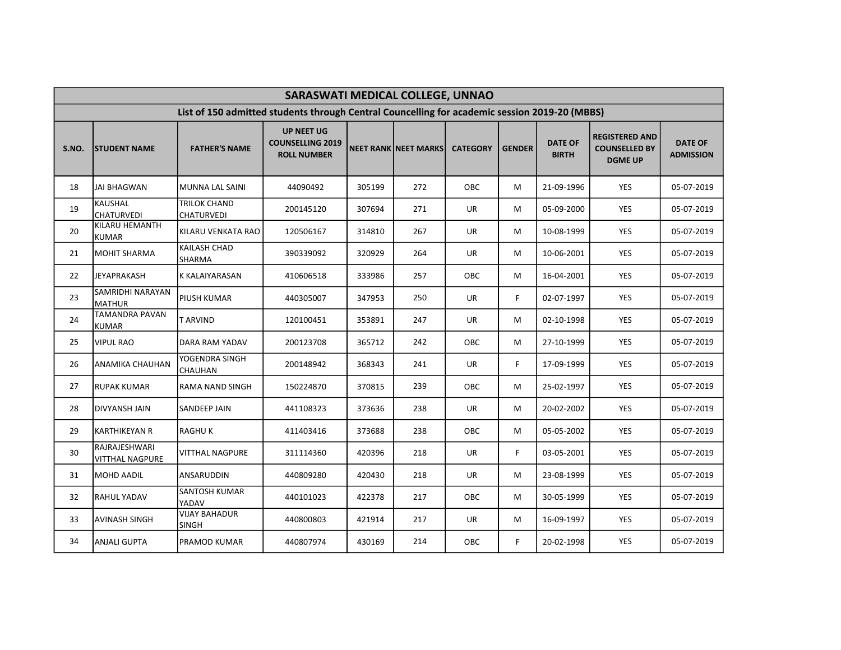|       | SARASWATI MEDICAL COLLEGE, UNNAO        |                                                                                               |                                                                    |        |                             |                 |               |                                |                                                                 |                                    |  |  |  |
|-------|-----------------------------------------|-----------------------------------------------------------------------------------------------|--------------------------------------------------------------------|--------|-----------------------------|-----------------|---------------|--------------------------------|-----------------------------------------------------------------|------------------------------------|--|--|--|
|       |                                         | List of 150 admitted students through Central Councelling for academic session 2019-20 (MBBS) |                                                                    |        |                             |                 |               |                                |                                                                 |                                    |  |  |  |
| S.NO. | <b>ISTUDENT NAME</b>                    | <b>FATHER'S NAME</b>                                                                          | <b>UP NEET UG</b><br><b>COUNSELLING 2019</b><br><b>ROLL NUMBER</b> |        | <b>NEET RANK NEET MARKS</b> | <b>CATEGORY</b> | <b>GENDER</b> | <b>DATE OF</b><br><b>BIRTH</b> | <b>REGISTERED AND</b><br><b>COUNSELLED BY</b><br><b>DGME UP</b> | <b>DATE OF</b><br><b>ADMISSION</b> |  |  |  |
| 18    | <b>JAI BHAGWAN</b>                      | <b>MUNNA LAL SAINI</b>                                                                        | 44090492                                                           | 305199 | 272                         | OBC             | М             | 21-09-1996                     | YES                                                             | 05-07-2019                         |  |  |  |
| 19    | <b>KAUSHAL</b><br><b>CHATURVEDI</b>     | <b>TRILOK CHAND</b><br><b>CHATURVEDI</b>                                                      | 200145120                                                          | 307694 | 271                         | <b>UR</b>       | M             | 05-09-2000                     | <b>YES</b>                                                      | 05-07-2019                         |  |  |  |
| 20    | KILARU HEMANTH<br>KUMAR                 | KILARU VENKATA RAO                                                                            | 120506167                                                          | 314810 | 267                         | UR              | м             | 10-08-1999                     | YES                                                             | 05-07-2019                         |  |  |  |
| 21    | MOHIT SHARMA                            | <b>KAILASH CHAD</b><br><b>SHARMA</b>                                                          | 390339092                                                          | 320929 | 264                         | UR              | м             | 10-06-2001                     | <b>YES</b>                                                      | 05-07-2019                         |  |  |  |
| 22    | <b>JEYAPRAKASH</b>                      | <b>K KALAIYARASAN</b>                                                                         | 410606518                                                          | 333986 | 257                         | OBC             | М             | 16-04-2001                     | YES                                                             | 05-07-2019                         |  |  |  |
| 23    | SAMRIDHI NARAYAN<br>MATHUR              | <b>PIUSH KUMAR</b>                                                                            | 440305007                                                          | 347953 | 250                         | UR              | F.            | 02-07-1997                     | <b>YES</b>                                                      | 05-07-2019                         |  |  |  |
| 24    | <b>TAMANDRA PAVAN</b><br><b>KUMAR</b>   | <b>TARVIND</b>                                                                                | 120100451                                                          | 353891 | 247                         | UR              | м             | 02-10-1998                     | <b>YES</b>                                                      | 05-07-2019                         |  |  |  |
| 25    | <b>VIPUL RAO</b>                        | <b>DARA RAM YADAV</b>                                                                         | 200123708                                                          | 365712 | 242                         | OBC             | м             | 27-10-1999                     | <b>YES</b>                                                      | 05-07-2019                         |  |  |  |
| 26    | ANAMIKA CHAUHAN                         | YOGENDRA SINGH<br><b>CHAUHAN</b>                                                              | 200148942                                                          | 368343 | 241                         | UR              | F.            | 17-09-1999                     | <b>YES</b>                                                      | 05-07-2019                         |  |  |  |
| 27    | <b>RUPAK KUMAR</b>                      | RAMA NAND SINGH                                                                               | 150224870                                                          | 370815 | 239                         | OBC             | м             | 25-02-1997                     | YES                                                             | 05-07-2019                         |  |  |  |
| 28    | <b>DIVYANSH JAIN</b>                    | <b>SANDEEP JAIN</b>                                                                           | 441108323                                                          | 373636 | 238                         | UR              | M             | 20-02-2002                     | <b>YES</b>                                                      | 05-07-2019                         |  |  |  |
| 29    | <b>KARTHIKEYAN R</b>                    | <b>RAGHUK</b>                                                                                 | 411403416                                                          | 373688 | 238                         | OBC             | м             | 05-05-2002                     | YES                                                             | 05-07-2019                         |  |  |  |
| 30    | RAJRAJESHWARI<br><b>VITTHAL NAGPURE</b> | <b>VITTHAL NAGPURE</b>                                                                        | 311114360                                                          | 420396 | 218                         | UR              | F.            | 03-05-2001                     | <b>YES</b>                                                      | 05-07-2019                         |  |  |  |
| 31    | MOHD AADIL                              | ANSARUDDIN                                                                                    | 440809280                                                          | 420430 | 218                         | UR              | м             | 23-08-1999                     | YES                                                             | 05-07-2019                         |  |  |  |
| 32    | <b>RAHUL YADAV</b>                      | <b>SANTOSH KUMAR</b><br>YADAV                                                                 | 440101023                                                          | 422378 | 217                         | OBC             | м             | 30-05-1999                     | <b>YES</b>                                                      | 05-07-2019                         |  |  |  |
| 33    | <b>AVINASH SINGH</b>                    | <b>VIJAY BAHADUR</b><br><b>SINGH</b>                                                          | 440800803                                                          | 421914 | 217                         | UR              | м             | 16-09-1997                     | <b>YES</b>                                                      | 05-07-2019                         |  |  |  |
| 34    | <b>ANJALI GUPTA</b>                     | PRAMOD KUMAR                                                                                  | 440807974                                                          | 430169 | 214                         | OBC             | F.            | 20-02-1998                     | <b>YES</b>                                                      | 05-07-2019                         |  |  |  |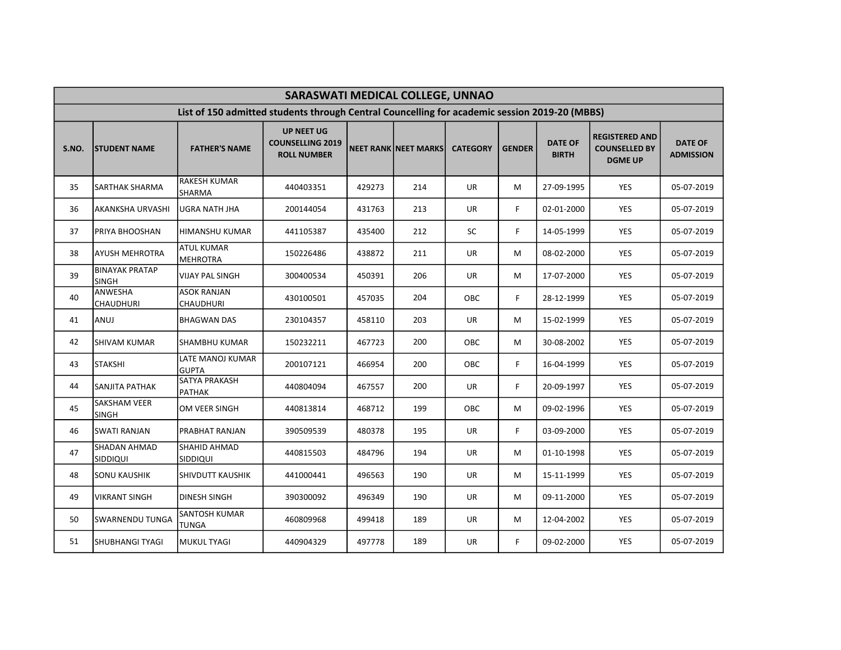|       | SARASWATI MEDICAL COLLEGE, UNNAO      |                                                                                               |                                                                    |        |                             |                 |               |                                |                                                                 |                                    |  |  |  |
|-------|---------------------------------------|-----------------------------------------------------------------------------------------------|--------------------------------------------------------------------|--------|-----------------------------|-----------------|---------------|--------------------------------|-----------------------------------------------------------------|------------------------------------|--|--|--|
|       |                                       | List of 150 admitted students through Central Councelling for academic session 2019-20 (MBBS) |                                                                    |        |                             |                 |               |                                |                                                                 |                                    |  |  |  |
| S.NO. | <b>ISTUDENT NAME</b>                  | <b>FATHER'S NAME</b>                                                                          | <b>UP NEET UG</b><br><b>COUNSELLING 2019</b><br><b>ROLL NUMBER</b> |        | <b>NEET RANK NEET MARKS</b> | <b>CATEGORY</b> | <b>GENDER</b> | <b>DATE OF</b><br><b>BIRTH</b> | <b>REGISTERED AND</b><br><b>COUNSELLED BY</b><br><b>DGME UP</b> | <b>DATE OF</b><br><b>ADMISSION</b> |  |  |  |
| 35    | <b>SARTHAK SHARMA</b>                 | <b>RAKESH KUMAR</b><br><b>SHARMA</b>                                                          | 440403351                                                          | 429273 | 214                         | <b>UR</b>       | М             | 27-09-1995                     | YES                                                             | 05-07-2019                         |  |  |  |
| 36    | <b>AKANKSHA URVASHI</b>               | <b>UGRA NATH JHA</b>                                                                          | 200144054                                                          | 431763 | 213                         | <b>UR</b>       | F.            | 02-01-2000                     | <b>YES</b>                                                      | 05-07-2019                         |  |  |  |
| 37    | PRIYA BHOOSHAN                        | <b>HIMANSHU KUMAR</b>                                                                         | 441105387                                                          | 435400 | 212                         | SC              | F             | 14-05-1999                     | YES                                                             | 05-07-2019                         |  |  |  |
| 38    | AYUSH MEHROTRA                        | <b>ATUL KUMAR</b><br>MEHROTRA                                                                 | 150226486                                                          | 438872 | 211                         | UR              | м             | 08-02-2000                     | <b>YES</b>                                                      | 05-07-2019                         |  |  |  |
| 39    | <b>BINAYAK PRATAP</b><br><b>SINGH</b> | <b>VIJAY PAL SINGH</b>                                                                        | 300400534                                                          | 450391 | 206                         | UR              | М             | 17-07-2000                     | YES                                                             | 05-07-2019                         |  |  |  |
| 40    | <b>ANWESHA</b><br><b>CHAUDHURI</b>    | <b>ASOK RANJAN</b><br><b>CHAUDHURI</b>                                                        | 430100501                                                          | 457035 | 204                         | OBC             | F.            | 28-12-1999                     | YES                                                             | 05-07-2019                         |  |  |  |
| 41    | ANUJ                                  | <b>BHAGWAN DAS</b>                                                                            | 230104357                                                          | 458110 | 203                         | UR              | м             | 15-02-1999                     | <b>YES</b>                                                      | 05-07-2019                         |  |  |  |
| 42    | <b>SHIVAM KUMAR</b>                   | <b>SHAMBHU KUMAR</b>                                                                          | 150232211                                                          | 467723 | 200                         | OBC             | м             | 30-08-2002                     | <b>YES</b>                                                      | 05-07-2019                         |  |  |  |
| 43    | <b>STAKSHI</b>                        | LATE MANOJ KUMAR<br><b>GUPTA</b>                                                              | 200107121                                                          | 466954 | 200                         | OBC             | F.            | 16-04-1999                     | YES                                                             | 05-07-2019                         |  |  |  |
| 44    | <b>SANJITA PATHAK</b>                 | <b>SATYA PRAKASH</b><br>PATHAK                                                                | 440804094                                                          | 467557 | 200                         | UR              | F.            | 20-09-1997                     | YES                                                             | 05-07-2019                         |  |  |  |
| 45    | <b>SAKSHAM VEER</b><br><b>SINGH</b>   | OM VEER SINGH                                                                                 | 440813814                                                          | 468712 | 199                         | OBC             | М             | 09-02-1996                     | <b>YES</b>                                                      | 05-07-2019                         |  |  |  |
| 46    | <b>SWATI RANJAN</b>                   | PRABHAT RANJAN                                                                                | 390509539                                                          | 480378 | 195                         | UR              | F             | 03-09-2000                     | YES                                                             | 05-07-2019                         |  |  |  |
| 47    | <b>SHADAN AHMAD</b><br>SIDDIQUI       | SHAHID AHMAD<br>SIDDIQUI                                                                      | 440815503                                                          | 484796 | 194                         | UR              | M             | 01-10-1998                     | <b>YES</b>                                                      | 05-07-2019                         |  |  |  |
| 48    | <b>SONU KAUSHIK</b>                   | <b>SHIVDUTT KAUSHIK</b>                                                                       | 441000441                                                          | 496563 | 190                         | UR              | м             | 15-11-1999                     | YES                                                             | 05-07-2019                         |  |  |  |
| 49    | <b>VIKRANT SINGH</b>                  | <b>DINESH SINGH</b>                                                                           | 390300092                                                          | 496349 | 190                         | UR              | M             | 09-11-2000                     | <b>YES</b>                                                      | 05-07-2019                         |  |  |  |
| 50    | <b>SWARNENDU TUNGA</b>                | <b>SANTOSH KUMAR</b><br><b>TUNGA</b>                                                          | 460809968                                                          | 499418 | 189                         | UR              | м             | 12-04-2002                     | <b>YES</b>                                                      | 05-07-2019                         |  |  |  |
| 51    | SHUBHANGI TYAGI                       | <b>MUKUL TYAGI</b>                                                                            | 440904329                                                          | 497778 | 189                         | UR              | F.            | 09-02-2000                     | <b>YES</b>                                                      | 05-07-2019                         |  |  |  |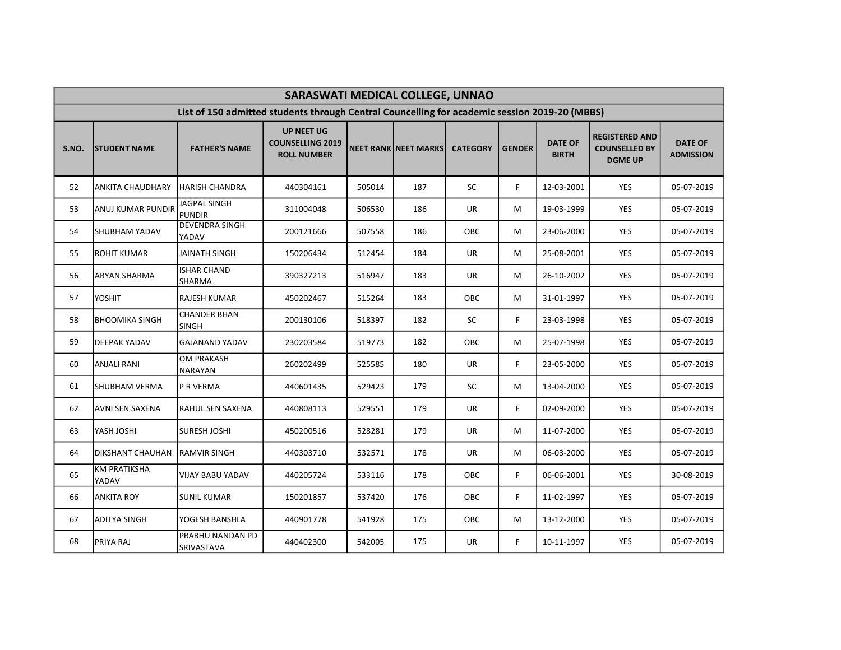|       | SARASWATI MEDICAL COLLEGE, UNNAO |                                                                                               |                                                                    |        |                      |                 |               |                                |                                                                 |                                    |  |  |  |
|-------|----------------------------------|-----------------------------------------------------------------------------------------------|--------------------------------------------------------------------|--------|----------------------|-----------------|---------------|--------------------------------|-----------------------------------------------------------------|------------------------------------|--|--|--|
|       |                                  | List of 150 admitted students through Central Councelling for academic session 2019-20 (MBBS) |                                                                    |        |                      |                 |               |                                |                                                                 |                                    |  |  |  |
| S.NO. | <b>STUDENT NAME</b>              | <b>FATHER'S NAME</b>                                                                          | <b>UP NEET UG</b><br><b>COUNSELLING 2019</b><br><b>ROLL NUMBER</b> |        | NEET RANK NEET MARKS | <b>CATEGORY</b> | <b>GENDER</b> | <b>DATE OF</b><br><b>BIRTH</b> | <b>REGISTERED AND</b><br><b>COUNSELLED BY</b><br><b>DGME UP</b> | <b>DATE OF</b><br><b>ADMISSION</b> |  |  |  |
| 52    | <b>ANKITA CHAUDHARY</b>          | HARISH CHANDRA                                                                                | 440304161                                                          | 505014 | 187                  | SC              | F.            | 12-03-2001                     | YES                                                             | 05-07-2019                         |  |  |  |
| 53    | <b>ANUJ KUMAR PUNDIR</b>         | <b>JAGPAL SINGH</b><br>PUNDIR                                                                 | 311004048                                                          | 506530 | 186                  | UR              | M             | 19-03-1999                     | <b>YES</b>                                                      | 05-07-2019                         |  |  |  |
| 54    | SHUBHAM YADAV                    | <b>DEVENDRA SINGH</b><br>YADAV                                                                | 200121666                                                          | 507558 | 186                  | OBC             | м             | 23-06-2000                     | YES                                                             | 05-07-2019                         |  |  |  |
| 55    | ROHIT KUMAR                      | JAINATH SINGH                                                                                 | 150206434                                                          | 512454 | 184                  | UR              | м             | 25-08-2001                     | <b>YES</b>                                                      | 05-07-2019                         |  |  |  |
| 56    | ARYAN SHARMA                     | <b>ISHAR CHAND</b><br>SHARMA                                                                  | 390327213                                                          | 516947 | 183                  | UR              | м             | 26-10-2002                     | YES                                                             | 05-07-2019                         |  |  |  |
| 57    | YOSHIT                           | <b>RAJESH KUMAR</b>                                                                           | 450202467                                                          | 515264 | 183                  | OBC             | м             | 31-01-1997                     | <b>YES</b>                                                      | 05-07-2019                         |  |  |  |
| 58    | <b>BHOOMIKA SINGH</b>            | <b>CHANDER BHAN</b><br><b>SINGH</b>                                                           | 200130106                                                          | 518397 | 182                  | SC              | F.            | 23-03-1998                     | YES                                                             | 05-07-2019                         |  |  |  |
| 59    | DEEPAK YADAV                     | <b>GAJANAND YADAV</b>                                                                         | 230203584                                                          | 519773 | 182                  | OBC             | м             | 25-07-1998                     | <b>YES</b>                                                      | 05-07-2019                         |  |  |  |
| 60    | <b>ANJALI RANI</b>               | <b>OM PRAKASH</b><br>NARAYAN                                                                  | 260202499                                                          | 525585 | 180                  | UR              | F.            | 23-05-2000                     | YES                                                             | 05-07-2019                         |  |  |  |
| 61    | SHUBHAM VERMA                    | P R VERMA                                                                                     | 440601435                                                          | 529423 | 179                  | SC              | М             | 13-04-2000                     | YES                                                             | 05-07-2019                         |  |  |  |
| 62    | AVNI SEN SAXENA                  | <b>RAHUL SEN SAXENA</b>                                                                       | 440808113                                                          | 529551 | 179                  | UR              | F.            | 02-09-2000                     | YES                                                             | 05-07-2019                         |  |  |  |
| 63    | <b>YASH JOSHI</b>                | <b>SURESH JOSHI</b>                                                                           | 450200516                                                          | 528281 | 179                  | UR              | М             | 11-07-2000                     | YES                                                             | 05-07-2019                         |  |  |  |
| 64    | DIKSHANT CHAUHAN                 | <b>RAMVIR SINGH</b>                                                                           | 440303710                                                          | 532571 | 178                  | UR              | М             | 06-03-2000                     | <b>YES</b>                                                      | 05-07-2019                         |  |  |  |
| 65    | <b>KM PRATIKSHA</b><br>YADAV     | VIJAY BABU YADAV                                                                              | 440205724                                                          | 533116 | 178                  | OBC             | F.            | 06-06-2001                     | YES                                                             | 30-08-2019                         |  |  |  |
| 66    | <b>ANKITA ROY</b>                | <b>SUNIL KUMAR</b>                                                                            | 150201857                                                          | 537420 | 176                  | <b>OBC</b>      | F.            | 11-02-1997                     | <b>YES</b>                                                      | 05-07-2019                         |  |  |  |
| 67    | <b>ADITYA SINGH</b>              | YOGESH BANSHLA                                                                                | 440901778                                                          | 541928 | 175                  | OBC             | м             | 13-12-2000                     | <b>YES</b>                                                      | 05-07-2019                         |  |  |  |
| 68    | PRIYA RAJ                        | PRABHU NANDAN PD<br>SRIVASTAVA                                                                | 440402300                                                          | 542005 | 175                  | UR              | F.            | 10-11-1997                     | <b>YES</b>                                                      | 05-07-2019                         |  |  |  |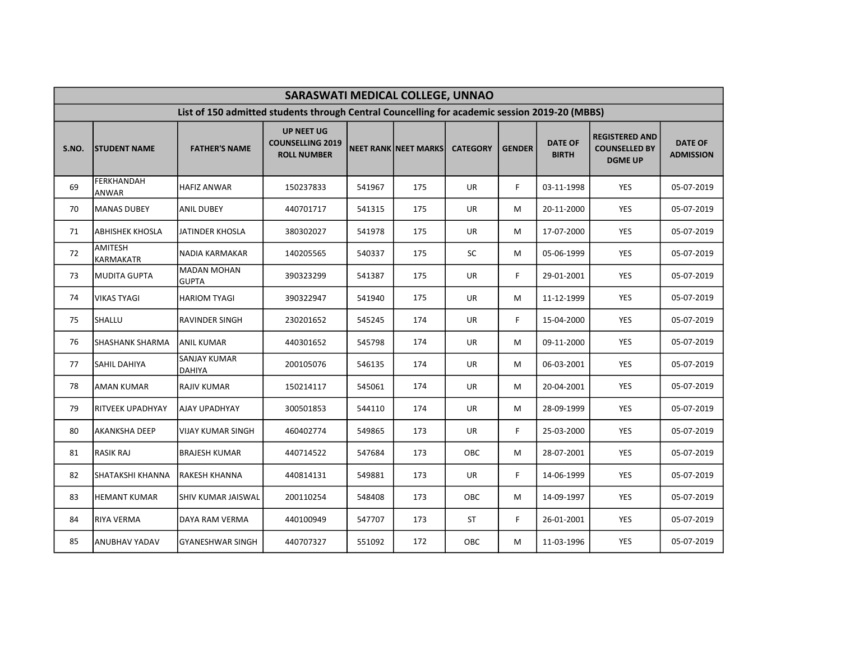|       | SARASWATI MEDICAL COLLEGE, UNNAO |                                                                                               |                                                                    |        |                             |                 |               |                                |                                                                 |                                    |  |  |  |
|-------|----------------------------------|-----------------------------------------------------------------------------------------------|--------------------------------------------------------------------|--------|-----------------------------|-----------------|---------------|--------------------------------|-----------------------------------------------------------------|------------------------------------|--|--|--|
|       |                                  | List of 150 admitted students through Central Councelling for academic session 2019-20 (MBBS) |                                                                    |        |                             |                 |               |                                |                                                                 |                                    |  |  |  |
| S.NO. | <b>ISTUDENT NAME</b>             | <b>FATHER'S NAME</b>                                                                          | <b>UP NEET UG</b><br><b>COUNSELLING 2019</b><br><b>ROLL NUMBER</b> |        | <b>NEET RANK NEET MARKS</b> | <b>CATEGORY</b> | <b>GENDER</b> | <b>DATE OF</b><br><b>BIRTH</b> | <b>REGISTERED AND</b><br><b>COUNSELLED BY</b><br><b>DGME UP</b> | <b>DATE OF</b><br><b>ADMISSION</b> |  |  |  |
| 69    | <b>FERKHANDAH</b><br>ANWAR       | <b>HAFIZ ANWAR</b>                                                                            | 150237833                                                          | 541967 | 175                         | <b>UR</b>       | F.            | 03-11-1998                     | <b>YES</b>                                                      | 05-07-2019                         |  |  |  |
| 70    | MANAS DUBEY                      | <b>ANIL DUBEY</b>                                                                             | 440701717                                                          | 541315 | 175                         | <b>UR</b>       | M             | 20-11-2000                     | <b>YES</b>                                                      | 05-07-2019                         |  |  |  |
| 71    | <b>ABHISHEK KHOSLA</b>           | JATINDER KHOSLA                                                                               | 380302027                                                          | 541978 | 175                         | UR              | М             | 17-07-2000                     | <b>YES</b>                                                      | 05-07-2019                         |  |  |  |
| 72    | AMITESH<br><b>KARMAKATR</b>      | NADIA KARMAKAR                                                                                | 140205565                                                          | 540337 | 175                         | SC              | М             | 05-06-1999                     | YES                                                             | 05-07-2019                         |  |  |  |
| 73    | MUDITA GUPTA                     | <b>MADAN MOHAN</b><br><b>GUPTA</b>                                                            | 390323299                                                          | 541387 | 175                         | UR              | F.            | 29-01-2001                     | <b>YES</b>                                                      | 05-07-2019                         |  |  |  |
| 74    | <b>VIKAS TYAGI</b>               | <b>HARIOM TYAGI</b>                                                                           | 390322947                                                          | 541940 | 175                         | UR              | М             | 11-12-1999                     | <b>YES</b>                                                      | 05-07-2019                         |  |  |  |
| 75    | SHALLU                           | <b>RAVINDER SINGH</b>                                                                         | 230201652                                                          | 545245 | 174                         | UR              | F.            | 15-04-2000                     | <b>YES</b>                                                      | 05-07-2019                         |  |  |  |
| 76    | <b>SHASHANK SHARMA</b>           | <b>ANIL KUMAR</b>                                                                             | 440301652                                                          | 545798 | 174                         | UR              | М             | 09-11-2000                     | <b>YES</b>                                                      | 05-07-2019                         |  |  |  |
| 77    | <b>SAHIL DAHIYA</b>              | <b>SANJAY KUMAR</b><br>DAHIYA                                                                 | 200105076                                                          | 546135 | 174                         | UR              | М             | 06-03-2001                     | <b>YES</b>                                                      | 05-07-2019                         |  |  |  |
| 78    | <b>AMAN KUMAR</b>                | <b>RAJIV KUMAR</b>                                                                            | 150214117                                                          | 545061 | 174                         | UR              | М             | 20-04-2001                     | <b>YES</b>                                                      | 05-07-2019                         |  |  |  |
| 79    | <b>RITVEEK UPADHYAY</b>          | AJAY UPADHYAY                                                                                 | 300501853                                                          | 544110 | 174                         | UR              | M             | 28-09-1999                     | <b>YES</b>                                                      | 05-07-2019                         |  |  |  |
| 80    | <b>AKANKSHA DEEP</b>             | <b>VIJAY KUMAR SINGH</b>                                                                      | 460402774                                                          | 549865 | 173                         | UR              | F.            | 25-03-2000                     | YES                                                             | 05-07-2019                         |  |  |  |
| 81    | <b>RASIK RAJ</b>                 | <b>BRAJESH KUMAR</b>                                                                          | 440714522                                                          | 547684 | 173                         | <b>OBC</b>      | M             | 28-07-2001                     | <b>YES</b>                                                      | 05-07-2019                         |  |  |  |
| 82    | SHATAKSHI KHANNA                 | <b>RAKESH KHANNA</b>                                                                          | 440814131                                                          | 549881 | 173                         | <b>UR</b>       | F.            | 14-06-1999                     | YES                                                             | 05-07-2019                         |  |  |  |
| 83    | <b>HEMANT KUMAR</b>              | <b>SHIV KUMAR JAISWAL</b>                                                                     | 200110254                                                          | 548408 | 173                         | OBC             | М             | 14-09-1997                     | YES                                                             | 05-07-2019                         |  |  |  |
| 84    | <b>RIYA VERMA</b>                | DAYA RAM VERMA                                                                                | 440100949                                                          | 547707 | 173                         | ST              | F.            | 26-01-2001                     | YES                                                             | 05-07-2019                         |  |  |  |
| 85    | ANUBHAV YADAV                    | <b>GYANESHWAR SINGH</b>                                                                       | 440707327                                                          | 551092 | 172                         | OBC             | М             | 11-03-1996                     | YES                                                             | 05-07-2019                         |  |  |  |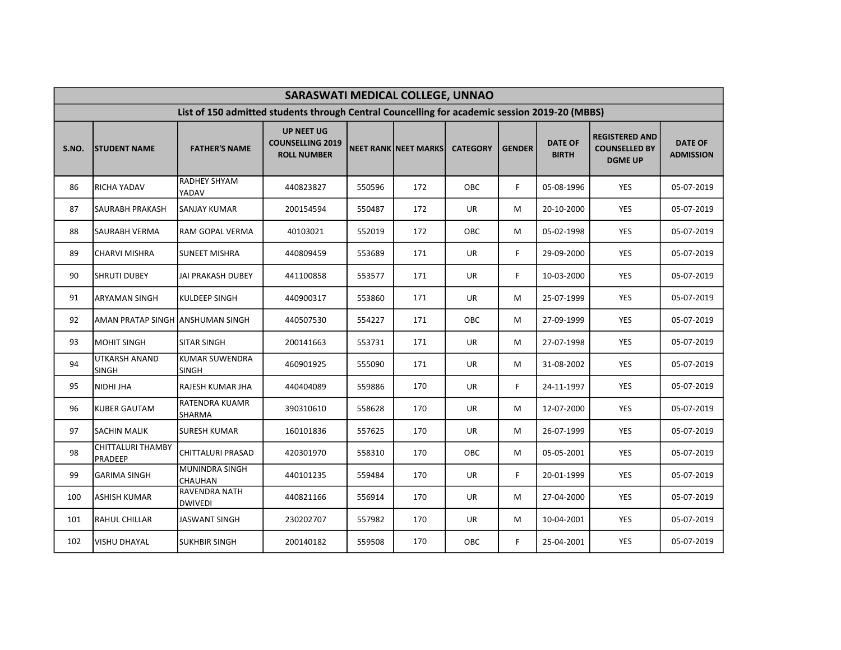|       | SARASWATI MEDICAL COLLEGE, UNNAO     |                                                                                               |                                                                    |        |                             |                 |               |                                |                                                                 |                                    |  |  |  |
|-------|--------------------------------------|-----------------------------------------------------------------------------------------------|--------------------------------------------------------------------|--------|-----------------------------|-----------------|---------------|--------------------------------|-----------------------------------------------------------------|------------------------------------|--|--|--|
|       |                                      | List of 150 admitted students through Central Councelling for academic session 2019-20 (MBBS) |                                                                    |        |                             |                 |               |                                |                                                                 |                                    |  |  |  |
| S.NO. | <b>STUDENT NAME</b>                  | <b>FATHER'S NAME</b>                                                                          | <b>UP NEET UG</b><br><b>COUNSELLING 2019</b><br><b>ROLL NUMBER</b> |        | <b>NEET RANK NEET MARKS</b> | <b>CATEGORY</b> | <b>GENDER</b> | <b>DATE OF</b><br><b>BIRTH</b> | <b>REGISTERED AND</b><br><b>COUNSELLED BY</b><br><b>DGME UP</b> | <b>DATE OF</b><br><b>ADMISSION</b> |  |  |  |
| 86    | <b>RICHA YADAV</b>                   | <b>RADHEY SHYAM</b><br>YADAV                                                                  | 440823827                                                          | 550596 | 172                         | <b>OBC</b>      | F.            | 05-08-1996                     | <b>YES</b>                                                      | 05-07-2019                         |  |  |  |
| 87    | <b>I</b> SAURABH PRAKASH             | <b>SANJAY KUMAR</b>                                                                           | 200154594                                                          | 550487 | 172                         | <b>UR</b>       | М             | 20-10-2000                     | <b>YES</b>                                                      | 05-07-2019                         |  |  |  |
| 88    | <b>SAURABH VERMA</b>                 | <b>RAM GOPAL VERMA</b>                                                                        | 40103021                                                           | 552019 | 172                         | <b>OBC</b>      | М             | 05-02-1998                     | <b>YES</b>                                                      | 05-07-2019                         |  |  |  |
| 89    | CHARVI MISHRA                        | <b>SUNEET MISHRA</b>                                                                          | 440809459                                                          | 553689 | 171                         | UR              | F.            | 29-09-2000                     | <b>YES</b>                                                      | 05-07-2019                         |  |  |  |
| 90    | <b>SHRUTI DUBEY</b>                  | JAI PRAKASH DUBEY                                                                             | 441100858                                                          | 553577 | 171                         | UR              | F.            | 10-03-2000                     | YES                                                             | 05-07-2019                         |  |  |  |
| 91    | <b>ARYAMAN SINGH</b>                 | <b>KULDEEP SINGH</b>                                                                          | 440900317                                                          | 553860 | 171                         | UR              | М             | 25-07-1999                     | <b>YES</b>                                                      | 05-07-2019                         |  |  |  |
| 92    | AMAN PRATAP SINGH  ANSHUMAN SINGH    |                                                                                               | 440507530                                                          | 554227 | 171                         | OBC             | М             | 27-09-1999                     | <b>YES</b>                                                      | 05-07-2019                         |  |  |  |
| 93    | IMOHIT SINGH                         | <b>SITAR SINGH</b>                                                                            | 200141663                                                          | 553731 | 171                         | <b>UR</b>       | М             | 27-07-1998                     | YES                                                             | 05-07-2019                         |  |  |  |
| 94    | <b>UTKARSH ANAND</b><br><b>SINGH</b> | <b>KUMAR SUWENDRA</b><br><b>SINGH</b>                                                         | 460901925                                                          | 555090 | 171                         | UR              | M             | 31-08-2002                     | <b>YES</b>                                                      | 05-07-2019                         |  |  |  |
| 95    | NIDHI JHA                            | RAJESH KUMAR JHA                                                                              | 440404089                                                          | 559886 | 170                         | <b>UR</b>       | F.            | 24-11-1997                     | YES                                                             | 05-07-2019                         |  |  |  |
| 96    | KUBER GAUTAM                         | RATENDRA KUAMR<br><b>SHARMA</b>                                                               | 390310610                                                          | 558628 | 170                         | UR              | М             | 12-07-2000                     | YES                                                             | 05-07-2019                         |  |  |  |
| 97    | <b>SACHIN MALIK</b>                  | <b>SURESH KUMAR</b>                                                                           | 160101836                                                          | 557625 | 170                         | UR              | м             | 26-07-1999                     | <b>YES</b>                                                      | 05-07-2019                         |  |  |  |
| 98    | <b>CHITTALURI THAMBY</b><br>PRADEEP  | CHITTALURI PRASAD                                                                             | 420301970                                                          | 558310 | 170                         | OBC.            | M             | 05-05-2001                     | <b>YES</b>                                                      | 05-07-2019                         |  |  |  |
| 99    | <b>GARIMA SINGH</b>                  | MUNINDRA SINGH<br><b>CHAUHAN</b>                                                              | 440101235                                                          | 559484 | 170                         | <b>UR</b>       | F.            | 20-01-1999                     | YES                                                             | 05-07-2019                         |  |  |  |
| 100   | <b>ASHISH KUMAR</b>                  | RAVENDRA NATH<br><b>DWIVEDI</b>                                                               | 440821166                                                          | 556914 | 170                         | UR              | M             | 27-04-2000                     | YES                                                             | 05-07-2019                         |  |  |  |
| 101   | <b>RAHUL CHILLAR</b>                 | JASWANT SINGH                                                                                 | 230202707                                                          | 557982 | 170                         | <b>UR</b>       | M             | 10-04-2001                     | <b>YES</b>                                                      | 05-07-2019                         |  |  |  |
| 102   | <b>VISHU DHAYAL</b>                  | <b>SUKHBIR SINGH</b>                                                                          | 200140182                                                          | 559508 | 170                         | OBC             | F.            | 25-04-2001                     | <b>YES</b>                                                      | 05-07-2019                         |  |  |  |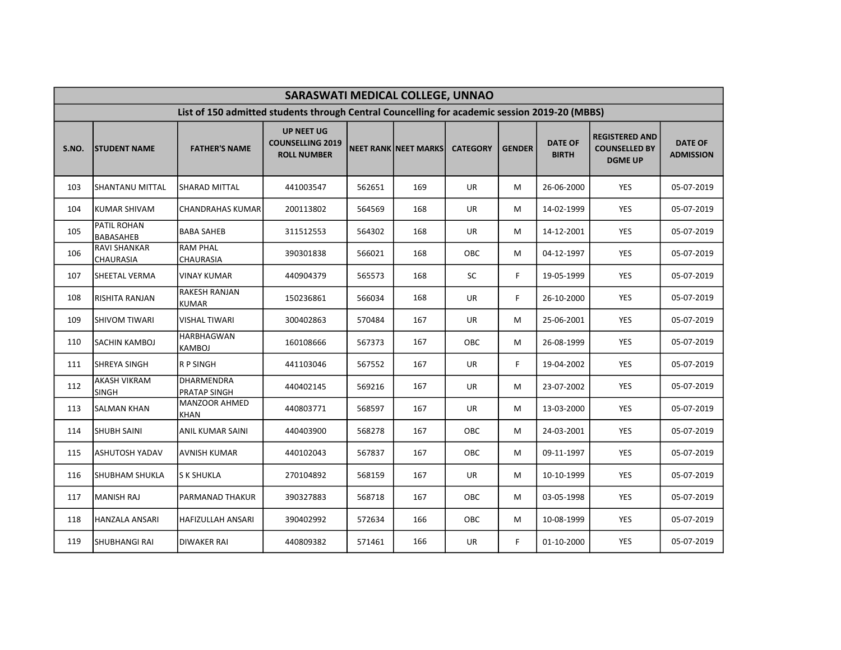|       | SARASWATI MEDICAL COLLEGE, UNNAO        |                                                                                               |                                                                    |        |                             |                 |               |                                |                                                                 |                                    |  |  |  |
|-------|-----------------------------------------|-----------------------------------------------------------------------------------------------|--------------------------------------------------------------------|--------|-----------------------------|-----------------|---------------|--------------------------------|-----------------------------------------------------------------|------------------------------------|--|--|--|
|       |                                         | List of 150 admitted students through Central Councelling for academic session 2019-20 (MBBS) |                                                                    |        |                             |                 |               |                                |                                                                 |                                    |  |  |  |
| S.NO. | <b>STUDENT NAME</b>                     | <b>FATHER'S NAME</b>                                                                          | <b>UP NEET UG</b><br><b>COUNSELLING 2019</b><br><b>ROLL NUMBER</b> |        | <b>NEET RANK NEET MARKS</b> | <b>CATEGORY</b> | <b>GENDER</b> | <b>DATE OF</b><br><b>BIRTH</b> | <b>REGISTERED AND</b><br><b>COUNSELLED BY</b><br><b>DGME UP</b> | <b>DATE OF</b><br><b>ADMISSION</b> |  |  |  |
| 103   | <b>SHANTANU MITTAL</b>                  | <b>SHARAD MITTAL</b>                                                                          | 441003547                                                          | 562651 | 169                         | <b>UR</b>       | М             | 26-06-2000                     | <b>YES</b>                                                      | 05-07-2019                         |  |  |  |
| 104   | KUMAR SHIVAM                            | <b>CHANDRAHAS KUMAR</b>                                                                       | 200113802                                                          | 564569 | 168                         | <b>UR</b>       | M             | 14-02-1999                     | <b>YES</b>                                                      | 05-07-2019                         |  |  |  |
| 105   | PATIL ROHAN<br>BABASAHEB                | <b>BABA SAHEB</b>                                                                             | 311512553                                                          | 564302 | 168                         | UR              | м             | 14-12-2001                     | <b>YES</b>                                                      | 05-07-2019                         |  |  |  |
| 106   | <b>RAVI SHANKAR</b><br><b>CHAURASIA</b> | <b>RAM PHAL</b><br><b>CHAURASIA</b>                                                           | 390301838                                                          | 566021 | 168                         | OBC             | М             | 04-12-1997                     | <b>YES</b>                                                      | 05-07-2019                         |  |  |  |
| 107   | SHEETAL VERMA                           | <b>VINAY KUMAR</b>                                                                            | 440904379                                                          | 565573 | 168                         | <b>SC</b>       | F             | 19-05-1999                     | <b>YES</b>                                                      | 05-07-2019                         |  |  |  |
| 108   | RISHITA RANJAN                          | <b>RAKESH RANJAN</b><br><b>KUMAR</b>                                                          | 150236861                                                          | 566034 | 168                         | <b>UR</b>       | F.            | 26-10-2000                     | <b>YES</b>                                                      | 05-07-2019                         |  |  |  |
| 109   | ISHIVOM TIWARI                          | <b>VISHAL TIWARI</b>                                                                          | 300402863                                                          | 570484 | 167                         | <b>UR</b>       | м             | 25-06-2001                     | <b>YES</b>                                                      | 05-07-2019                         |  |  |  |
| 110   | <b>SACHIN KAMBOJ</b>                    | <b>HARBHAGWAN</b><br>KAMBOJ                                                                   | 160108666                                                          | 567373 | 167                         | OBC             | м             | 26-08-1999                     | <b>YES</b>                                                      | 05-07-2019                         |  |  |  |
| 111   | ISHREYA SINGH                           | R P SINGH                                                                                     | 441103046                                                          | 567552 | 167                         | <b>UR</b>       | F.            | 19-04-2002                     | <b>YES</b>                                                      | 05-07-2019                         |  |  |  |
| 112   | <b>AKASH VIKRAM</b><br><b>SINGH</b>     | DHARMENDRA<br><b>PRATAP SINGH</b>                                                             | 440402145                                                          | 569216 | 167                         | <b>UR</b>       | м             | 23-07-2002                     | <b>YES</b>                                                      | 05-07-2019                         |  |  |  |
| 113   | <b>SALMAN KHAN</b>                      | <b>MANZOOR AHMED</b><br>KHAN                                                                  | 440803771                                                          | 568597 | 167                         | UR              | М             | 13-03-2000                     | <b>YES</b>                                                      | 05-07-2019                         |  |  |  |
| 114   | <b>SHUBH SAINI</b>                      | ANIL KUMAR SAINI                                                                              | 440403900                                                          | 568278 | 167                         | OBC             | м             | 24-03-2001                     | YES                                                             | 05-07-2019                         |  |  |  |
| 115   | <b>ASHUTOSH YADAV</b>                   | <b>AVNISH KUMAR</b>                                                                           | 440102043                                                          | 567837 | 167                         | OBC             | м             | 09-11-1997                     | YES                                                             | 05-07-2019                         |  |  |  |
| 116   | SHUBHAM SHUKLA                          | <b>S K SHUKLA</b>                                                                             | 270104892                                                          | 568159 | 167                         | UR              | м             | 10-10-1999                     | YES                                                             | 05-07-2019                         |  |  |  |
| 117   | MANISH RAJ                              | PARMANAD THAKUR                                                                               | 390327883                                                          | 568718 | 167                         | OBC             | М             | 03-05-1998                     | YES                                                             | 05-07-2019                         |  |  |  |
| 118   | <b>HANZALA ANSARI</b>                   | <b>HAFIZULLAH ANSARI</b>                                                                      | 390402992                                                          | 572634 | 166                         | OBC             | м             | 10-08-1999                     | <b>YES</b>                                                      | 05-07-2019                         |  |  |  |
| 119   | SHUBHANGI RAI                           | <b>DIWAKER RAI</b>                                                                            | 440809382                                                          | 571461 | 166                         | UR              | F.            | 01-10-2000                     | <b>YES</b>                                                      | 05-07-2019                         |  |  |  |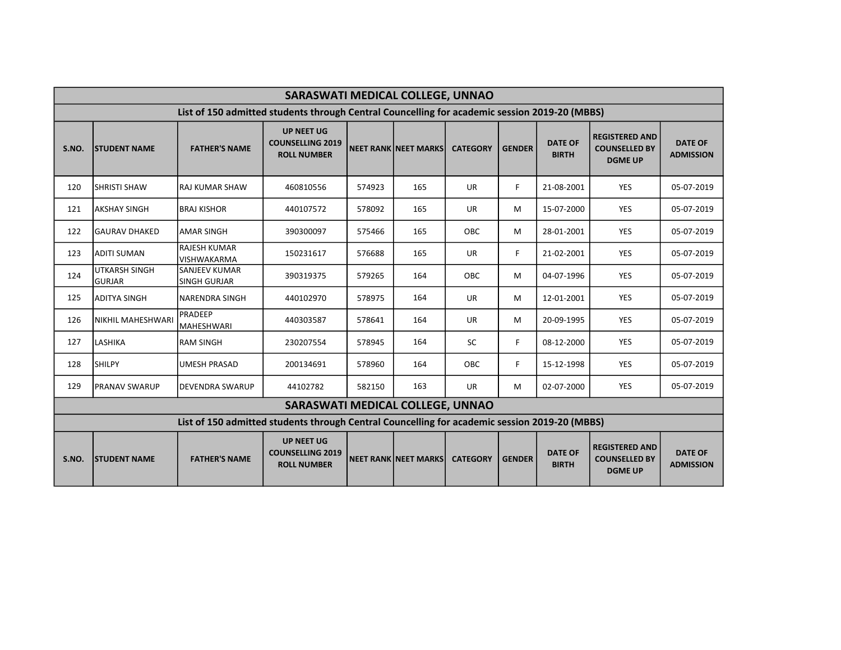|       | <b>SARASWATI MEDICAL COLLEGE, UNNAO</b> |                                                                                               |                                                                    |        |                             |                 |               |                                |                                                                 |                                    |  |  |
|-------|-----------------------------------------|-----------------------------------------------------------------------------------------------|--------------------------------------------------------------------|--------|-----------------------------|-----------------|---------------|--------------------------------|-----------------------------------------------------------------|------------------------------------|--|--|
|       |                                         | List of 150 admitted students through Central Councelling for academic session 2019-20 (MBBS) |                                                                    |        |                             |                 |               |                                |                                                                 |                                    |  |  |
| S.NO. | <b>STUDENT NAME</b>                     | <b>FATHER'S NAME</b>                                                                          | <b>UP NEET UG</b><br><b>COUNSELLING 2019</b><br><b>ROLL NUMBER</b> |        | <b>NEET RANK NEET MARKS</b> | <b>CATEGORY</b> | <b>GENDER</b> | <b>DATE OF</b><br><b>BIRTH</b> | <b>REGISTERED AND</b><br><b>COUNSELLED BY</b><br><b>DGME UP</b> | <b>DATE OF</b><br><b>ADMISSION</b> |  |  |
| 120   | <b>SHRISTI SHAW</b>                     | <b>RAJ KUMAR SHAW</b>                                                                         | 460810556                                                          | 574923 | 165                         | <b>UR</b>       | F.            | 21-08-2001                     | <b>YES</b>                                                      | 05-07-2019                         |  |  |
| 121   | <b>AKSHAY SINGH</b>                     | <b>BRAJ KISHOR</b>                                                                            | 440107572                                                          | 578092 | 165                         | <b>UR</b>       | M             | 15-07-2000                     | <b>YES</b>                                                      | 05-07-2019                         |  |  |
| 122   | <b>GAURAV DHAKED</b>                    | <b>AMAR SINGH</b>                                                                             | 390300097                                                          | 575466 | 165                         | OBC             | M             | 28-01-2001                     | <b>YES</b>                                                      | 05-07-2019                         |  |  |
| 123   | <b>ADITI SUMAN</b>                      | <b>RAJESH KUMAR</b><br><b>VISHWAKARMA</b>                                                     | 150231617                                                          | 576688 | 165                         | <b>UR</b>       | F.            | 21-02-2001                     | <b>YES</b>                                                      | 05-07-2019                         |  |  |
| 124   | <b>UTKARSH SINGH</b><br>lgurjar         | <b>SANJEEV KUMAR</b><br><b>SINGH GURJAR</b>                                                   | 390319375                                                          | 579265 | 164                         | OBC             | M             | 04-07-1996                     | <b>YES</b>                                                      | 05-07-2019                         |  |  |
| 125   | IADITYA SINGH                           | <b>NARENDRA SINGH</b>                                                                         | 440102970                                                          | 578975 | 164                         | <b>UR</b>       | M             | 12-01-2001                     | <b>YES</b>                                                      | 05-07-2019                         |  |  |
| 126   | <b>NIKHIL MAHESHWARI</b>                | PRADEEP<br>MAHESHWARI                                                                         | 440303587                                                          | 578641 | 164                         | <b>UR</b>       | M             | 20-09-1995                     | <b>YES</b>                                                      | 05-07-2019                         |  |  |
| 127   | <b>LASHIKA</b>                          | <b>RAM SINGH</b>                                                                              | 230207554                                                          | 578945 | 164                         | SC              | F.            | 08-12-2000                     | <b>YES</b>                                                      | 05-07-2019                         |  |  |
| 128   | <b>SHILPY</b>                           | <b>UMESH PRASAD</b>                                                                           | 200134691                                                          | 578960 | 164                         | <b>OBC</b>      | F.            | 15-12-1998                     | <b>YES</b>                                                      | 05-07-2019                         |  |  |
| 129   | <b>IPRANAV SWARUP</b>                   | DEVENDRA SWARUP                                                                               | 44102782                                                           | 582150 | 163                         | <b>UR</b>       | М             | 02-07-2000                     | <b>YES</b>                                                      | 05-07-2019                         |  |  |
|       |                                         |                                                                                               | SARASWATI MEDICAL COLLEGE, UNNAO                                   |        |                             |                 |               |                                |                                                                 |                                    |  |  |
|       |                                         | List of 150 admitted students through Central Councelling for academic session 2019-20 (MBBS) |                                                                    |        |                             |                 |               |                                |                                                                 |                                    |  |  |
| S.NO. | <b>STUDENT NAME</b>                     | <b>FATHER'S NAME</b>                                                                          | <b>UP NEET UG</b><br><b>COUNSELLING 2019</b><br><b>ROLL NUMBER</b> |        | <b>NEET RANK NEET MARKS</b> | <b>CATEGORY</b> | <b>GENDER</b> | <b>DATE OF</b><br><b>BIRTH</b> | <b>REGISTERED AND</b><br><b>COUNSELLED BY</b><br><b>DGME UP</b> | <b>DATE OF</b><br><b>ADMISSION</b> |  |  |